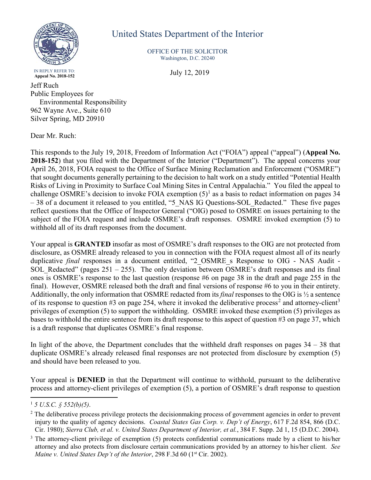

## United States Department of the Interior

OFFICE OF THE SOLICITOR Washington, D.C. 20240

**Appeal No. 2018-152** July 12, 2019

IN REPLY REFER TO:<br>Appeal No. 2018-152

Jeff Ruch Public Employees for Environmental Responsibility 962 Wayne Ave., Suite 610 Silver Spring, MD 20910

Dear Mr. Ruch:

This responds to the July 19, 2018, Freedom of Information Act ("FOIA") appeal ("appeal") (**Appeal No. 2018-152**) that you filed with the Department of the Interior ("Department"). The appeal concerns your April 26, 2018, FOIA request to the Office of Surface Mining Reclamation and Enforcement ("OSMRE") that sought documents generally pertaining to the decision to halt work on a study entitled "Potential Health Risks of Living in Proximity to Surface Coal Mining Sites in Central Appalachia." You filed the appeal to challenge OSMRE's decision to invoke FOIA exemption  $(5)^1$  as a basis to redact information on pages 34 – 38 of a document it released to you entitled, "5 NAS IG Questions-SOL Redacted." These five pages reflect questions that the Office of Inspector General ("OIG) posed to OSMRE on issues pertaining to the subject of the FOIA request and include OSMRE's draft responses. OSMRE invoked exemption (5) to withhold all of its draft responses from the document.

Your appeal is **GRANTED** insofar as most of OSMRE's draft responses to the OIG are not protected from disclosure, as OSMRE already released to you in connection with the FOIA request almost all of its nearly duplicative *final* responses in a document entitled, "2 OSMRE s Response to OIG - NAS Audit -SOL Redacted" (pages  $251 - 255$ ). The only deviation between OSMRE's draft responses and its final ones is OSMRE's response to the last question (response #6 on page 38 in the draft and page 255 in the final). However, OSMRE released both the draft and final versions of response #6 to you in their entirety. Additionally, the only information that OSMRE redacted from its *final* responses to the OIG is ½ a sentence of its response to question #3 on page 254, where it invoked the deliberative process<sup>2</sup> and attorney-client<sup>3</sup> privileges of exemption (5) to support the withholding. OSMRE invoked these exemption (5) privileges as bases to withhold the entire sentence from its draft response to this aspect of question #3 on page 37, which is a draft response that duplicates OSMRE's final response.

In light of the above, the Department concludes that the withheld draft responses on pages  $34 - 38$  that duplicate OSMRE's already released final responses are not protected from disclosure by exemption (5) and should have been released to you.

Your appeal is **DENIED** in that the Department will continue to withhold, pursuant to the deliberative process and attorney-client privileges of exemption (5), a portion of OSMRE's draft response to question

 <sup>1</sup> *5 U.S.C. § 552(b)(5)*.

<sup>&</sup>lt;sup>2</sup> The deliberative process privilege protects the decisionmaking process of government agencies in order to prevent injury to the quality of agency decisions. *Coastal States Gas Corp. v. Dep't of Energy*, 617 F.2d 854, 866 (D.C. Cir. 1980); *Sierra Club, et al. v. United States Department of Interior, et al.*, 384 F. Supp. 2d 1, 15 (D.D.C. 2004).

<sup>&</sup>lt;sup>3</sup> The attorney-client privilege of exemption (5) protects confidential communications made by a client to his/her attorney and also protects from disclosure certain communications provided by an attorney to his/her client. *See Maine v. United States Dep't of the Interior*, 298 F.3d 60 (1<sup>st</sup> Cir. 2002).